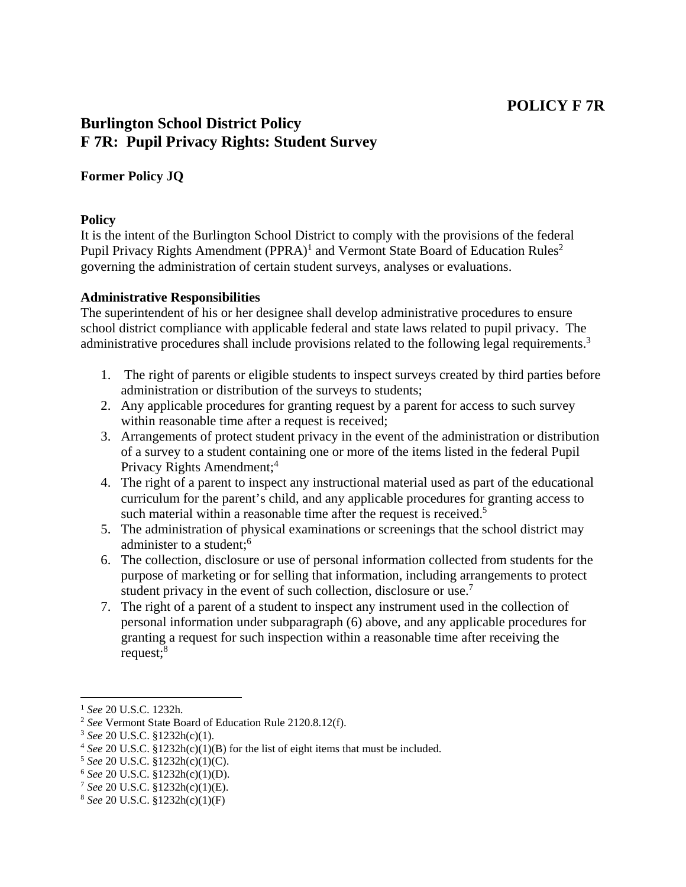# **POLICY F 7R**

## **Burlington School District Policy F 7R: Pupil Privacy Rights: Student Survey**

## **Former Policy JQ**

#### **Policy**

It is the intent of the Burlington School District to comply with the provisions of the federal Pupil Privacy Rights Amendment (PPRA)<sup>1</sup> and Vermont State Board of Education Rules<sup>2</sup> governing the administration of certain student surveys, analyses or evaluations.

#### **Administrative Responsibilities**

The superintendent of his or her designee shall develop administrative procedures to ensure school district compliance with applicable federal and state laws related to pupil privacy. The administrative procedures shall include provisions related to the following legal requirements.<sup>3</sup>

- 1. The right of parents or eligible students to inspect surveys created by third parties before administration or distribution of the surveys to students;
- 2. Any applicable procedures for granting request by a parent for access to such survey within reasonable time after a request is received;
- 3. Arrangements of protect student privacy in the event of the administration or distribution of a survey to a student containing one or more of the items listed in the federal Pupil Privacy Rights Amendment;<sup>4</sup>
- 4. The right of a parent to inspect any instructional material used as part of the educational curriculum for the parent's child, and any applicable procedures for granting access to such material within a reasonable time after the request is received.<sup>5</sup>
- 5. The administration of physical examinations or screenings that the school district may administer to a student:<sup>6</sup>
- 6. The collection, disclosure or use of personal information collected from students for the purpose of marketing or for selling that information, including arrangements to protect student privacy in the event of such collection, disclosure or use.<sup>7</sup>
- 7. The right of a parent of a student to inspect any instrument used in the collection of personal information under subparagraph (6) above, and any applicable procedures for granting a request for such inspection within a reasonable time after receiving the request;<sup>8</sup>

<sup>&</sup>lt;sup>1</sup> See 20 U.S.C. 1232h.<br>
<sup>2</sup> See Vermont State Board of Education Rule 2120.8.12(f).<br>
<sup>3</sup> See 20 U.S.C. §1232h(c)(1).<br>
<sup>4</sup> See 20 U.S.C. §1232h(c)(1)(B) for the list of eight items that must be included.<br>
<sup>5</sup> See 20 U.S.